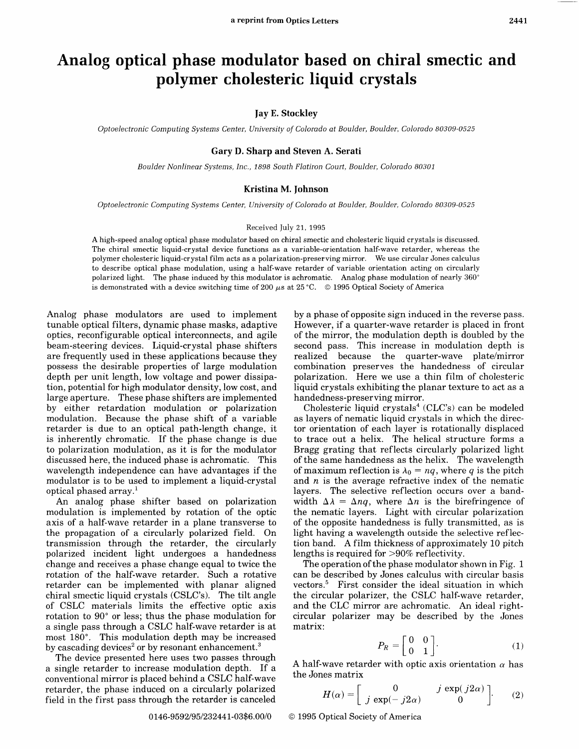# Analog optical phase modulator based on chiral smectic and polymer cholesteric liquid crystals

# Iay E. Stockley

Optoelectronic Computing Systems Center, University of Colorado at Boulder, Boulder, Colorado 80309-0525

# Gary D. Sharp and Steven A. Serati

Boulder Nonlinear Systems, Inc., 1898 South Flatiron Court, Boulder, Colorado 80301

## Kristina M. |ohnson

Optoelectronic Computing Systems Center, University of Colorado at Boulder, Boulder, Colorado 80309-0525

#### Received July 21, 1995

A high-speed analog optical phase modulator based on chiral smectic and cholesteric liquid crystals is discussed. The chiral smectic liquid-crystal device functions as a variable-orientation half-wave retarder, whereas the polymer cholesteric liquid-crystal film acts as a polarization-preserving mirror. We use circular Jones calculus to describe optical phase modulation, using a half-wave retarder of variable orientation acting on circularly polarized light. The phase induced by this modulator is achromatic. Analog phase modulation of nearly 360" is demonstrated with a device switching time of 200  $\mu$ s at 25 °C. © 1995 Optical Society of America

Analog phase modulators are used to implement tunable optical filters, dynamic phase masks, adaptive optics, reconfigurable optical interconnects, and agile beam-steering devices. Liquid-crystal phase shifters are frequently used in these applications because they possess the desirable properties of large modulation depth per unit length, low voltage and power dissipation, potential for high modulator density, low cost, and large aperture. These phase shifters are implemented by either retardation modulation or polarization modulation. Because the phase shift of a variable retarder is due to an optical path-length change, it is inherently chromatic. If the phase change is due to polarization modulation, as it is for the modulator discussed here, the induced phase is achromatic. This wavelength independence can have advantages if the modulator is to be used to implement a liquid-crystal optical phased  $\arctan^1$ 

An analog phase shifter based on polarization modulation is implemented by rotation of the optic axis of a half-wave retarder in a plane transverse to the propagation of a circularly polarized field. On transmission through the retarder, the circularly polarized incident light undergoes a handedness change and receives a phase change equal to twice the rotation of the half-wave retarder. Such a rotative retarder can be implemented with planar aligned chiral smectic liquid crystals (CSLC's). The tilt angle of CSLC materials limits the effective optic axis rotation to 90" or less; thus the phase modulation for a single pass through a CSLC half-wave retarder is at most 180'. This modulation depth may be increased by cascading devices<sup>2</sup> or by resonant enhancement.<sup>3</sup>

The device presented here uses two passes through a single retarder to increase modulation depth. If a conventional mirror is placed behind a CSLC half-wave retarder, the phase induced on a circularly polarized field in the first pass through the retarder is canceled.

by a phase of opposite sign induced in the reverse pass. However, if a quarter-wave retarder is placed in front of the mirror, the modulation depth is doubled by the second pass. This increase in modulation depth is realized because the quarter-wave plate/mirror combination preserves the handedness of circular polarization. Here we use a thin film of cholesteric liquid crystals exhibiting the planar texture to act as a handedness-preserving mirror.

Cholesteric liquid crystals<sup>4</sup> (CLC's) can be modeled as layers of nematic liquid crystals in which the director orientation of each layer is rotationally displaced to trace out a helix. The helical structure forms a Bragg grating that reflects circularly polarized light of the same handedness as the helix. The wavelength of maximum reflection is  $\lambda_0 = nq$ , where q is the pitch and  $n$  is the average refractive index of the nematic layers. The selective reflection occurs over a bandwidth  $\Delta \lambda = \Delta nq$ , where  $\Delta n$  is the birefringence of the nematic layers. Light with circular polarization of the opposite handedness is fully transmitted, as is light having a wavelength outside the selective reflection band. A film thickness of approximately 10 pitch lengths is required for  $>90\%$  reflectivity.

The operation of the phase modulator shown in Fig. 1 can be described by Jones calculus with circular basis vectors.5 First consider the ideal situation in which the circular polarizer, the CSLC half-wave retarder, and the CLC mirror are achromatic. An ideal rightcircular polarizer may be described by the Jones matrix:

$$
P_R = \begin{bmatrix} 0 & 0 \\ 0 & 1 \end{bmatrix}.
$$
 (1)

A half-wave retarder with optic axis orientation  $\alpha$  has the Jones matrix

$$
H(\alpha) = \begin{bmatrix} 0 & j \exp(j2\alpha) \\ j \exp(-j2\alpha) & 0 \end{bmatrix}.
$$
 (2)

0146-9592/95/232441-03\$6.00/0 © 1995 Optical Society of America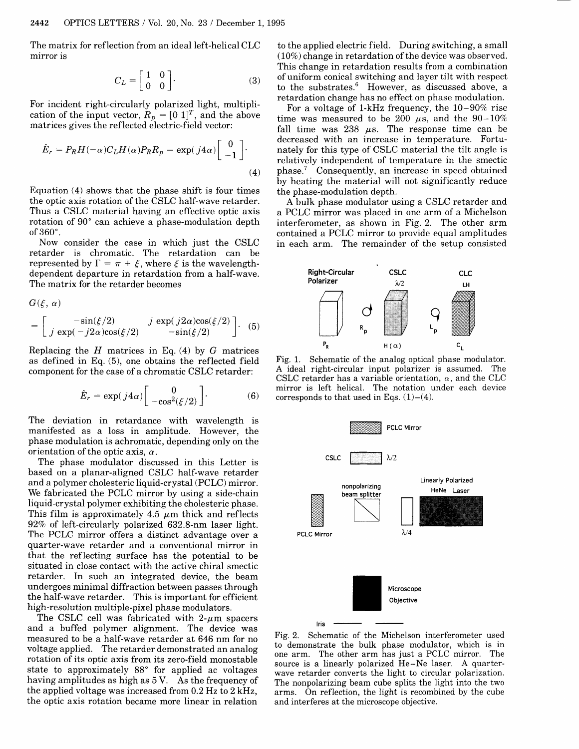The matrix for reflection from an ideal left-helical CLC mirror is

$$
C_L = \begin{bmatrix} 1 & 0 \\ 0 & 0 \end{bmatrix}.
$$
 (3)

For incident right-circularly polarized light, multiplication of the input vector,  $R_p = [0 \; 1]^T$ , and the above matrices gives the reflected electric-field vector:

$$
\hat{E}_r = P_R H(-\alpha) C_L H(\alpha) P_R R_p = \exp(j4\alpha) \begin{bmatrix} 0 \\ -1 \end{bmatrix}.
$$
\n(4)

Equation (4) shows that the phase shift is four times the optic axis rotation of the CSLC half-wave retarder. Thus a CSLC material having an effective optic axis rotation of 90' can achieve a phase-modulation depth of 360'.

Now consider the case in which just the CSLC retarder is chromatic. The retardation can be represented by  $\Gamma = \pi + \xi$ , where  $\xi$  is the wavelengthdependent departure in retardation from a half-wave. The matrix for the retarder becomes

$$
G(\xi, \alpha)
$$
  
= 
$$
\begin{bmatrix} -\sin(\xi/2) & j \exp(j2\alpha)\cos(\xi/2) \\ j \exp(-j2\alpha)\cos(\xi/2) & -\sin(\xi/2) \end{bmatrix}
$$
 (5)

Replacing the  $H$  matrices in Eq. (4) by  $G$  matrices as defined in Eq. (5), one obtains the reflected field component for the case of a chromatic CSLC retarder:

$$
\hat{E}_r = \exp(j4\alpha) \begin{bmatrix} 0 \\ -\cos^2(\xi/2) \end{bmatrix}.
$$
 (6)

The deviation in retardance with wavelength is manifested as a loss in amplitude. However, the phase modulation is achromatic, depending only on the orientation of the optic axis,  $\alpha$ .

The phase modulator discussed in this Letter is based on a planar-aligned CSLC half-wave retarder and a polymer cholesteric liquid-crystal (PCLC) mirror. We fabricated the PCLC mirror by using a side-chain liquid-crystal polymer exhibiting the cholesteric phase. This film is approximately 4.5  $\mu$ m thick and reflects 927o of left-circularly polarized 632.8-nm laser light. The PCLC mirror offers a distinct advantage over a quarter-wave retarder and a conventional mirror in that the reflecting surface has the potential to be situated in close contact with the active chiral smectic retarder. In such an integrated device, the beam undergoes minimal diffraction between passes through the half-wave retarder. This is important for efficient high-resolution multiple-pixel phase modulators.

The CSLC cell was fabricated with  $2-\mu m$  spacers and a buffed polymer alignment. The device was measured to be a half-wave retarder at 646 nm for no voltage applied. The retarder demonstrated an analog rotation of its optic axis from its zero-field monostable state to approximately 88' for applied ac voltages having amplitudes as high as 5 V. As the frequency of the applied voltage was increased from  $0.2$  Hz to  $2$  kHz, the optic axis rotation became more linear in relation

to the applied electric field. During switching, a small  $(10\%)$  change in retardation of the device was observed. This change in retardation results from a combination of uniform conical switching and layer tilt with respect to the substrates.<sup>6</sup> However, as discussed above, a retardation change has no effect on phase modulation.

For a voltage of 1-kHz frequency, the  $10-90\%$  rise time was measured to be 200  $\mu$ s, and the 90-10% fall time was 238  $\mu$ s. The response time can be decreased with an increase in temperature. Fortunately for this type of CSLC material the tilt angle is relatively independent of temperature in the smectic phase.<sup>7</sup> Consequently, an increase in speed obtained by heating the material will not significantly reduce the phase-modulation depth.

A bulk phase modulator using a CSLC retarder and a PCLC mirror was placed in one arm of a Michelson interferometer, as shown in Fig. 2. The other arm contained a PCLC mirror to provide equal amplitudes in each arm. The remainder of the setup consisted



Fig. 1. Schematic of the analog optical phase modulator. A ideal right-circular input polarizer is assumed. The CSLC retarder has a variable orientation,  $\alpha$ , and the CLC mirror is left helical. The notation under each device corresponds to that used in Eqs.  $(1)-(4)$ .



Fig.2. Schematic of the Michelson interferometer used to demonstrate the bulk phase modulator, which is in one arm. The other arm has just a PCLC mirror. The source is a linearly polarized He-Ne laser. A quarterwave retarder converts the light to circular polarization. The nonpolarizing beam cube splits the light into the two arms. On refiection, the light is recombined by the cube and interferes at the microscope objective.